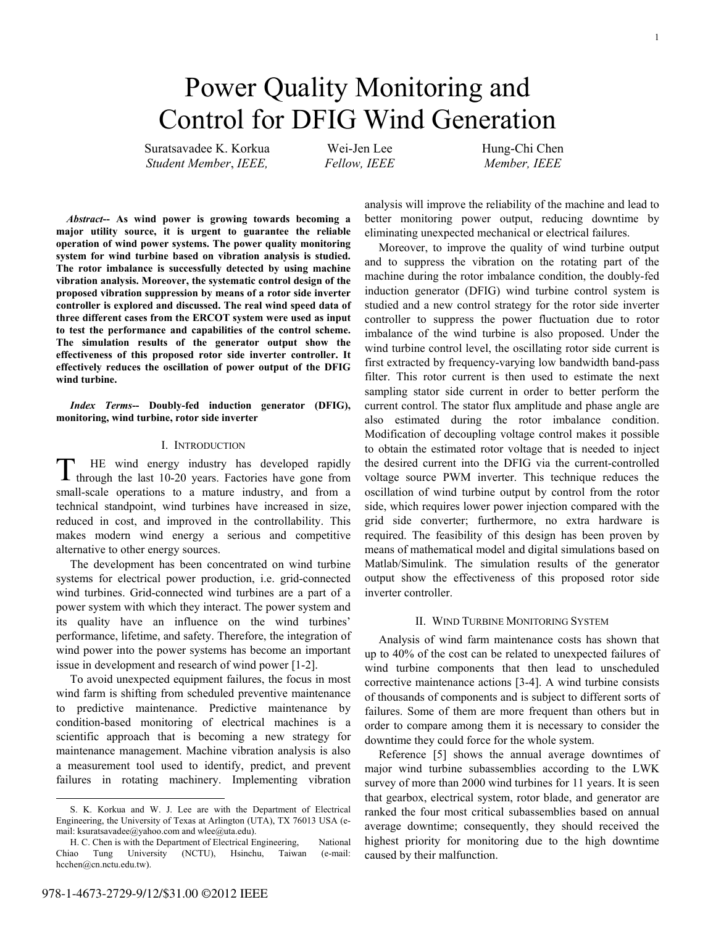# Power Quality Monitoring and Control for DFIG Wind Generation

 Suratsavadee K. Korkua Wei-Jen Lee Hung-Chi Chen *Student Member*, *IEEE, Fellow, IEEE Member, IEEE*

*Abstract***-- As wind power is growing towards becoming a major utility source, it is urgent to guarantee the reliable operation of wind power systems. The power quality monitoring system for wind turbine based on vibration analysis is studied. The rotor imbalance is successfully detected by using machine vibration analysis. Moreover, the systematic control design of the proposed vibration suppression by means of a rotor side inverter controller is explored and discussed. The real wind speed data of three different cases from the ERCOT system were used as input to test the performance and capabilities of the control scheme. The simulation results of the generator output show the effectiveness of this proposed rotor side inverter controller. It effectively reduces the oscillation of power output of the DFIG wind turbine.** 

*Index Terms***-- Doubly-fed induction generator (DFIG), monitoring, wind turbine, rotor side inverter** 

#### I. INTRODUCTION

HE wind energy industry has developed rapidly The wind energy industry has developed rapidly through the last 10-20 years. Factories have gone from small-scale operations to a mature industry, and from a technical standpoint, wind turbines have increased in size, reduced in cost, and improved in the controllability. This makes modern wind energy a serious and competitive alternative to other energy sources.

The development has been concentrated on wind turbine systems for electrical power production, i.e. grid-connected wind turbines. Grid-connected wind turbines are a part of a power system with which they interact. The power system and its quality have an influence on the wind turbines' performance, lifetime, and safety. Therefore, the integration of wind power into the power systems has become an important issue in development and research of wind power [1-2].

To avoid unexpected equipment failures, the focus in most wind farm is shifting from scheduled preventive maintenance to predictive maintenance. Predictive maintenance by condition-based monitoring of electrical machines is a scientific approach that is becoming a new strategy for maintenance management. Machine vibration analysis is also a measurement tool used to identify, predict, and prevent failures in rotating machinery. Implementing vibration analysis will improve the reliability of the machine and lead to better monitoring power output, reducing downtime by eliminating unexpected mechanical or electrical failures.

Moreover, to improve the quality of wind turbine output and to suppress the vibration on the rotating part of the machine during the rotor imbalance condition, the doubly-fed induction generator (DFIG) wind turbine control system is studied and a new control strategy for the rotor side inverter controller to suppress the power fluctuation due to rotor imbalance of the wind turbine is also proposed. Under the wind turbine control level, the oscillating rotor side current is first extracted by frequency-varying low bandwidth band-pass filter. This rotor current is then used to estimate the next sampling stator side current in order to better perform the current control. The stator flux amplitude and phase angle are also estimated during the rotor imbalance condition. Modification of decoupling voltage control makes it possible to obtain the estimated rotor voltage that is needed to inject the desired current into the DFIG via the current-controlled voltage source PWM inverter. This technique reduces the oscillation of wind turbine output by control from the rotor side, which requires lower power injection compared with the grid side converter; furthermore, no extra hardware is required. The feasibility of this design has been proven by means of mathematical model and digital simulations based on Matlab/Simulink. The simulation results of the generator output show the effectiveness of this proposed rotor side inverter controller.

### II. WIND TURBINE MONITORING SYSTEM

Analysis of wind farm maintenance costs has shown that up to 40% of the cost can be related to unexpected failures of wind turbine components that then lead to unscheduled corrective maintenance actions [3-4]. A wind turbine consists of thousands of components and is subject to different sorts of failures. Some of them are more frequent than others but in order to compare among them it is necessary to consider the downtime they could force for the whole system.

Reference [5] shows the annual average downtimes of major wind turbine subassemblies according to the LWK survey of more than 2000 wind turbines for 11 years. It is seen that gearbox, electrical system, rotor blade, and generator are ranked the four most critical subassemblies based on annual average downtime; consequently, they should received the highest priority for monitoring due to the high downtime caused by their malfunction.

S. K. Korkua and W. J. Lee are with the Department of Electrical Engineering, the University of Texas at Arlington (UTA), TX 76013 USA (email: ksuratsavadee@yahoo.com and wlee@uta.edu).

H. C. Chen is with the Department of Electrical Engineering, National Chiao Tung University (NCTU), Hsinchu, Taiwan (e-mail: hcchen@cn.nctu.edu.tw).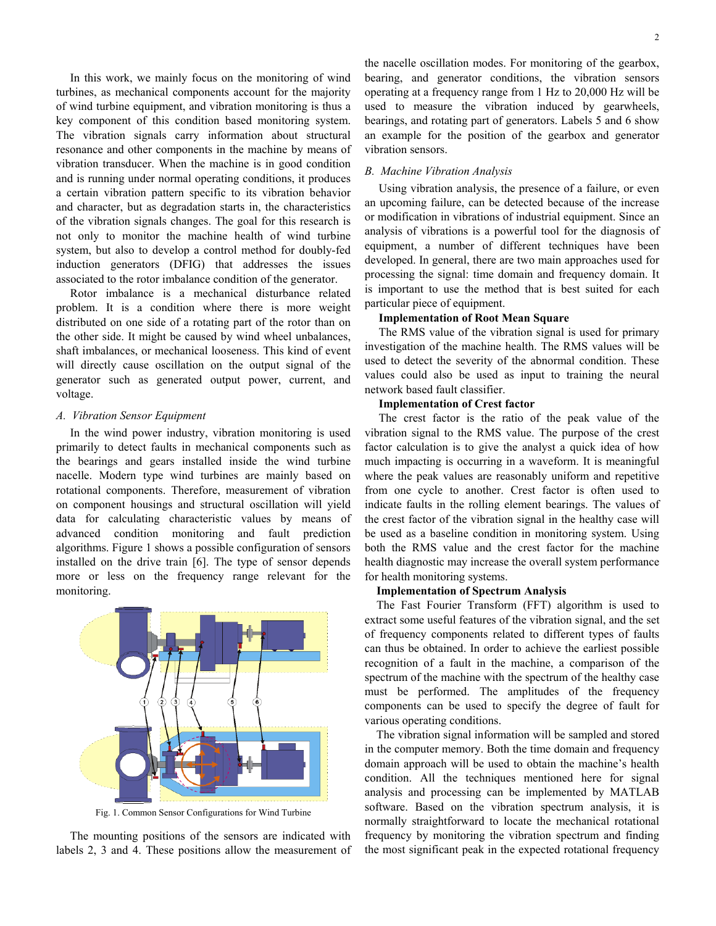In this work, we mainly focus on the monitoring of wind turbines, as mechanical components account for the majority of wind turbine equipment, and vibration monitoring is thus a key component of this condition based monitoring system. The vibration signals carry information about structural resonance and other components in the machine by means of vibration transducer. When the machine is in good condition and is running under normal operating conditions, it produces a certain vibration pattern specific to its vibration behavior and character, but as degradation starts in, the characteristics of the vibration signals changes. The goal for this research is not only to monitor the machine health of wind turbine system, but also to develop a control method for doubly-fed induction generators (DFIG) that addresses the issues associated to the rotor imbalance condition of the generator.

Rotor imbalance is a mechanical disturbance related problem. It is a condition where there is more weight distributed on one side of a rotating part of the rotor than on the other side. It might be caused by wind wheel unbalances, shaft imbalances, or mechanical looseness. This kind of event will directly cause oscillation on the output signal of the generator such as generated output power, current, and voltage.

## *A. Vibration Sensor Equipment*

In the wind power industry, vibration monitoring is used primarily to detect faults in mechanical components such as the bearings and gears installed inside the wind turbine nacelle. Modern type wind turbines are mainly based on rotational components. Therefore, measurement of vibration on component housings and structural oscillation will yield data for calculating characteristic values by means of advanced condition monitoring and fault prediction algorithms. Figure 1 shows a possible configuration of sensors installed on the drive train [6]. The type of sensor depends more or less on the frequency range relevant for the monitoring.



Fig. 1. Common Sensor Configurations for Wind Turbine

The mounting positions of the sensors are indicated with labels 2, 3 and 4. These positions allow the measurement of the nacelle oscillation modes. For monitoring of the gearbox, bearing, and generator conditions, the vibration sensors operating at a frequency range from 1 Hz to 20,000 Hz will be used to measure the vibration induced by gearwheels, bearings, and rotating part of generators. Labels 5 and 6 show an example for the position of the gearbox and generator vibration sensors.

# *B. Machine Vibration Analysis*

Using vibration analysis, the presence of a failure, or even an upcoming failure, can be detected because of the increase or modification in vibrations of industrial equipment. Since an analysis of vibrations is a powerful tool for the diagnosis of equipment, a number of different techniques have been developed. In general, there are two main approaches used for processing the signal: time domain and frequency domain. It is important to use the method that is best suited for each particular piece of equipment.

## **Implementation of Root Mean Square**

The RMS value of the vibration signal is used for primary investigation of the machine health. The RMS values will be used to detect the severity of the abnormal condition. These values could also be used as input to training the neural network based fault classifier.

# **Implementation of Crest factor**

The crest factor is the ratio of the peak value of the vibration signal to the RMS value. The purpose of the crest factor calculation is to give the analyst a quick idea of how much impacting is occurring in a waveform. It is meaningful where the peak values are reasonably uniform and repetitive from one cycle to another. Crest factor is often used to indicate faults in the rolling element bearings. The values of the crest factor of the vibration signal in the healthy case will be used as a baseline condition in monitoring system. Using both the RMS value and the crest factor for the machine health diagnostic may increase the overall system performance for health monitoring systems.

# **Implementation of Spectrum Analysis**

The Fast Fourier Transform (FFT) algorithm is used to extract some useful features of the vibration signal, and the set of frequency components related to different types of faults can thus be obtained. In order to achieve the earliest possible recognition of a fault in the machine, a comparison of the spectrum of the machine with the spectrum of the healthy case must be performed. The amplitudes of the frequency components can be used to specify the degree of fault for various operating conditions.

The vibration signal information will be sampled and stored in the computer memory. Both the time domain and frequency domain approach will be used to obtain the machine's health condition. All the techniques mentioned here for signal analysis and processing can be implemented by MATLAB software. Based on the vibration spectrum analysis, it is normally straightforward to locate the mechanical rotational frequency by monitoring the vibration spectrum and finding the most significant peak in the expected rotational frequency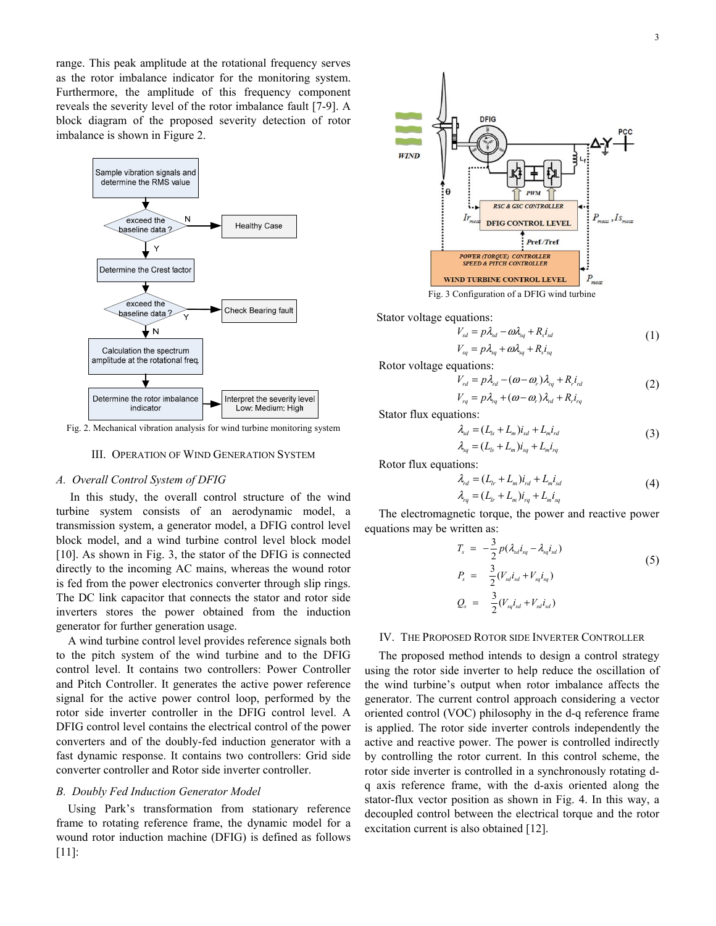range. This peak amplitude at the rotational frequency serves as the rotor imbalance indicator for the monitoring system. Furthermore, the amplitude of this frequency component reveals the severity level of the rotor imbalance fault [7-9]. A block diagram of the proposed severity detection of rotor imbalance is shown in Figure 2.



Fig. 2. Mechanical vibration analysis for wind turbine monitoring system

## III. OPERATION OF WIND GENERATION SYSTEM

## *A. Overall Control System of DFIG*

In this study, the overall control structure of the wind turbine system consists of an aerodynamic model, a transmission system, a generator model, a DFIG control level block model, and a wind turbine control level block model [10]. As shown in Fig. 3, the stator of the DFIG is connected directly to the incoming AC mains, whereas the wound rotor is fed from the power electronics converter through slip rings. The DC link capacitor that connects the stator and rotor side inverters stores the power obtained from the induction generator for further generation usage.

A wind turbine control level provides reference signals both to the pitch system of the wind turbine and to the DFIG control level. It contains two controllers: Power Controller and Pitch Controller. It generates the active power reference signal for the active power control loop, performed by the rotor side inverter controller in the DFIG control level. A DFIG control level contains the electrical control of the power converters and of the doubly-fed induction generator with a fast dynamic response. It contains two controllers: Grid side converter controller and Rotor side inverter controller.

# *B. Doubly Fed Induction Generator Model*

Using Park's transformation from stationary reference frame to rotating reference frame, the dynamic model for a wound rotor induction machine (DFIG) is defined as follows [11]:



Fig. 3 Configuration of a DFIG wind turbine

 $r_q = P r_{rq} + (W - W_r) r_{rd} + K_r t_{rq}$ 

Stator voltage equations:

$$
V_{sd} = p\lambda_{sd} - \omega\lambda_{sq} + R_s i_{sd}
$$
  

$$
V_{sq} = p\lambda_{sq} + \omega\lambda_{sq} + R_s i_{sq}
$$
 (1)

Rotor voltage equations:

$$
V_{rd} = p\lambda_{rd} - (\omega - \omega_r)\lambda_{rq} + R_r i_{rd}
$$
  
\n
$$
V_{rq} = p\lambda_{rq} + (\omega - \omega_r)\lambda_{rd} + R_r i_{rq}
$$
\n(2)

Stator flux equations:

$$
\lambda_{sd} = (L_{ls} + L_m) i_{sd} + L_m i_{rd}
$$
\n
$$
\lambda_{sq} = (L_{ls} + L_m) i_{sq} + L_m i_{rq}
$$
\n(3)

Rotor flux equations:

$$
\lambda_{rd} = (L_{lr} + L_m) i_{rd} + L_m i_{sd}
$$
\n
$$
\lambda_{rq} = (L_{lr} + L_m) i_{rq} + L_m i_{sq}
$$
\n(4)

The electromagnetic torque, the power and reactive power equations may be written as:

$$
T_s = -\frac{3}{2} p(\lambda_{sd} i_{sq} - \lambda_{sq} i_{sd})
$$
  
\n
$$
P_s = \frac{3}{2} (V_{sd} i_{sd} + V_{sq} i_{sq})
$$
  
\n
$$
Q_s = \frac{3}{2} (V_{sq} i_{sd} + V_{sd} i_{sd})
$$
\n(5)

## IV. THE PROPOSED ROTOR SIDE INVERTER CONTROLLER

The proposed method intends to design a control strategy using the rotor side inverter to help reduce the oscillation of the wind turbine's output when rotor imbalance affects the generator. The current control approach considering a vector oriented control (VOC) philosophy in the d-q reference frame is applied. The rotor side inverter controls independently the active and reactive power. The power is controlled indirectly by controlling the rotor current. In this control scheme, the rotor side inverter is controlled in a synchronously rotating dq axis reference frame, with the d-axis oriented along the stator-flux vector position as shown in Fig. 4. In this way, a decoupled control between the electrical torque and the rotor excitation current is also obtained [12].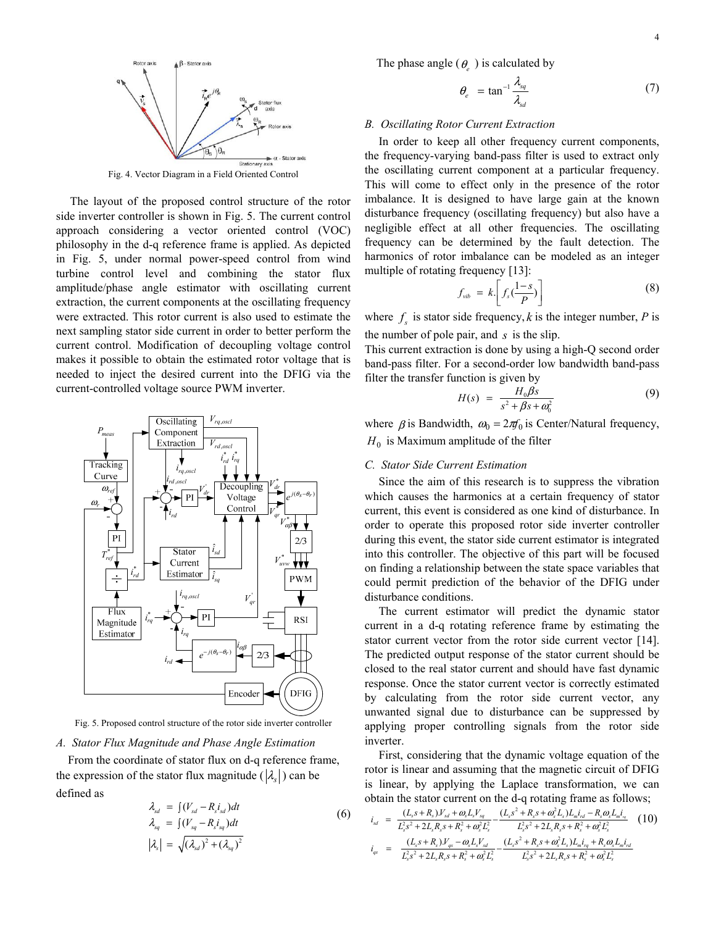

The layout of the proposed control structure of the rotor side inverter controller is shown in Fig. 5. The current control approach considering a vector oriented control (VOC) philosophy in the d-q reference frame is applied. As depicted in Fig. 5, under normal power-speed control from wind turbine control level and combining the stator flux amplitude/phase angle estimator with oscillating current extraction, the current components at the oscillating frequency were extracted. This rotor current is also used to estimate the next sampling stator side current in order to better perform the current control. Modification of decoupling voltage control makes it possible to obtain the estimated rotor voltage that is needed to inject the desired current into the DFIG via the current-controlled voltage source PWM inverter.



Fig. 5. Proposed control structure of the rotor side inverter controller

#### *A. Stator Flux Magnitude and Phase Angle Estimation*

From the coordinate of stator flux on d-q reference frame, the expression of the stator flux magnitude ( $|\lambda_{s}|$ ) can be defined as

$$
\lambda_{sd} = \int (V_{sd} - R_s i_{sd}) dt
$$
\n
$$
\lambda_{sq} = \int (V_{sq} - R_s i_{sq}) dt
$$
\n
$$
|\lambda_s| = \sqrt{(\lambda_{sd})^2 + (\lambda_{sq})^2}
$$
\n(6)

The phase angle  $(\theta_e)$  is calculated by

$$
\theta_e = \tan^{-1} \frac{\lambda_{sq}}{\lambda_{sd}} \tag{7}
$$

## *B. Oscillating Rotor Current Extraction*

In order to keep all other frequency current components, the frequency-varying band-pass filter is used to extract only the oscillating current component at a particular frequency. This will come to effect only in the presence of the rotor imbalance. It is designed to have large gain at the known disturbance frequency (oscillating frequency) but also have a negligible effect at all other frequencies. The oscillating frequency can be determined by the fault detection. The harmonics of rotor imbalance can be modeled as an integer multiple of rotating frequency [13]:

$$
f_{\rm vib} = k \left[ f_s \left( \frac{1 - s}{P} \right) \right] \tag{8}
$$

where  $f<sub>s</sub>$  is stator side frequency, *k* is the integer number, *P* is the number of pole pair, and *s* is the slip.

This current extraction is done by using a high-Q second order band-pass filter. For a second-order low bandwidth band-pass filter the transfer function is given by

$$
H(s) = \frac{H_0 \beta s}{s^2 + \beta s + \omega_0^2} \tag{9}
$$

where  $\beta$  is Bandwidth,  $\omega_0 = 2\pi f_0$  is Center/Natural frequency,  $H_0$  is Maximum amplitude of the filter

## *C. Stator Side Current Estimation*

Since the aim of this research is to suppress the vibration which causes the harmonics at a certain frequency of stator current, this event is considered as one kind of disturbance. In order to operate this proposed rotor side inverter controller during this event, the stator side current estimator is integrated into this controller. The objective of this part will be focused on finding a relationship between the state space variables that could permit prediction of the behavior of the DFIG under disturbance conditions.

The current estimator will predict the dynamic stator current in a d-q rotating reference frame by estimating the stator current vector from the rotor side current vector [14]. The predicted output response of the stator current should be closed to the real stator current and should have fast dynamic response. Once the stator current vector is correctly estimated by calculating from the rotor side current vector, any unwanted signal due to disturbance can be suppressed by applying proper controlling signals from the rotor side inverter.

First, considering that the dynamic voltage equation of the rotor is linear and assuming that the magnetic circuit of DFIG is linear, by applying the Laplace transformation, we can obtain the stator current on the d-q rotating frame as follows;

$$
i_{sd} = \frac{(L_s s + R_s) V_{sd} + \omega_s L_s V_{sq}}{L_s^2 s^2 + 2L_s R_s s + R_s^2 + \omega_s^2 L_s^2} - \frac{(L_s s^2 + R_s s + \omega_s^2 L_s) L_m i_{rd} - R_s \omega_s L_m i_{rq}}{L_s^2 s^2 + 2L_s R_s s + R_s^2 + \omega_s^2 L_s^2}
$$
(10)  

$$
i_{qs} = \frac{(L_s s + R_s) V_{qs} - \omega_s L_s V_{sd}}{L_s^2 s^2 + 2L_s R_s s + R_s^2 + \omega_s^2 L_s^2} - \frac{(L_s s^2 + R_s s + \omega_s^2 L_s) L_m i_{rq} + R_s \omega_s L_m i_{rd}}{L_s^2 s^2 + 2L_s R_s s + R_s^2 + \omega_s^2 L_s^2}
$$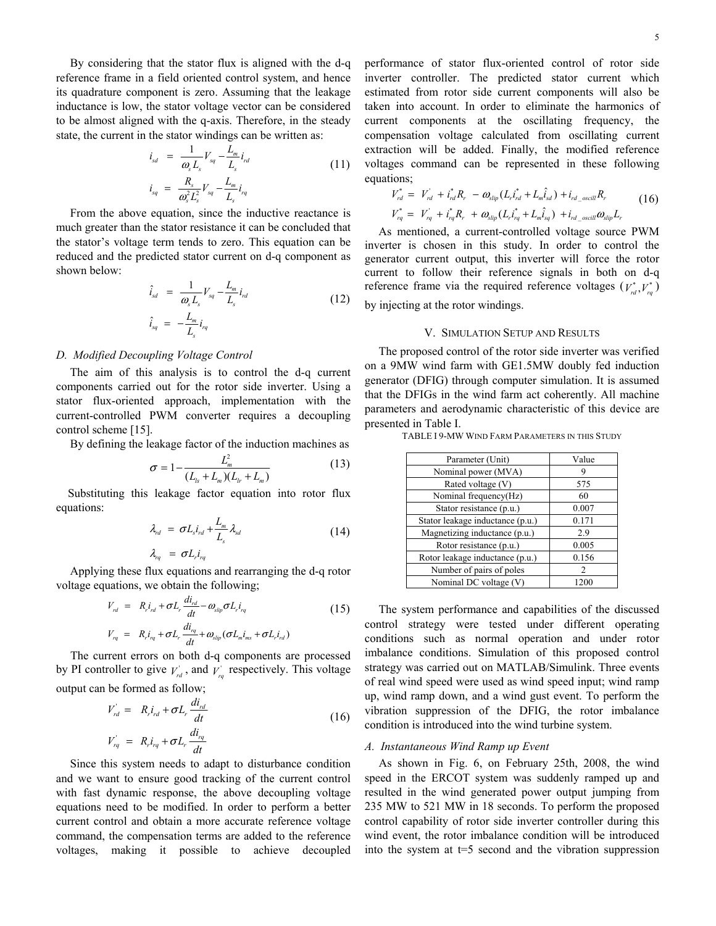By considering that the stator flux is aligned with the d-q reference frame in a field oriented control system, and hence its quadrature component is zero. Assuming that the leakage inductance is low, the stator voltage vector can be considered to be almost aligned with the q-axis. Therefore, in the steady state, the current in the stator windings can be written as:

$$
i_{sd} = \frac{1}{\omega_s L_s} V_{sq} - \frac{L_m}{L_s} i_{rd}
$$
  
\n
$$
i_{sq} = \frac{R_s}{\omega_s^2 L_s^2} V_{sq} - \frac{L_m}{L_s} i_{rq}
$$
\n(11)

From the above equation, since the inductive reactance is much greater than the stator resistance it can be concluded that the stator's voltage term tends to zero. This equation can be reduced and the predicted stator current on d-q component as shown below:

$$
\hat{i}_{sd} = \frac{1}{\omega_s L_s} V_{sq} - \frac{L_m}{L_s} i_{rd}
$$
\n
$$
\hat{i}_{sq} = -\frac{L_m}{L_s} i_{rq}
$$
\n(12)

## *D. Modified Decoupling Voltage Control*

The aim of this analysis is to control the d-q current components carried out for the rotor side inverter. Using a stator flux-oriented approach, implementation with the current-controlled PWM converter requires a decoupling control scheme [15].

By defining the leakage factor of the induction machines as

$$
\sigma = 1 - \frac{L_m^2}{(L_{ls} + L_m)(L_{lr} + L_m)}
$$
(13)

Substituting this leakage factor equation into rotor flux equations:

$$
\lambda_{rd} = \sigma L_s i_{rd} + \frac{L_m}{L_s} \lambda_{sd} \tag{14}
$$

$$
\lambda_{rq} = \sigma L_r i_{rq}
$$

Applying these flux equations and rearranging the d-q rotor voltage equations, we obtain the following;

$$
V_{rd} = R_r i_{rd} + \sigma L_r \frac{di_{rd}}{dt} - \omega_{slip} \sigma L_r i_{rq}
$$
  
\n
$$
V_{rq} = R_r i_{rq} + \sigma L_r \frac{di_{rq}}{dt} + \omega_{slip} (\sigma L_m i_{ms} + \sigma L_r i_{rd})
$$
\n(15)

The current errors on both d-q components are processed by PI controller to give  $V_{rd}$ , and  $V_{rq}$  respectively. This voltage output can be formed as follow;

$$
V_{rd} = R_r i_{rd} + \sigma L_r \frac{di_{rd}}{dt}
$$
  
\n
$$
V_{rq} = R_r i_{rq} + \sigma L_r \frac{di_{rq}}{dt}
$$
\n(16)

Since this system needs to adapt to disturbance condition and we want to ensure good tracking of the current control with fast dynamic response, the above decoupling voltage equations need to be modified. In order to perform a better current control and obtain a more accurate reference voltage command, the compensation terms are added to the reference voltages, making it possible to achieve decoupled performance of stator flux-oriented control of rotor side inverter controller. The predicted stator current which estimated from rotor side current components will also be taken into account. In order to eliminate the harmonics of current components at the oscillating frequency, the compensation voltage calculated from oscillating current extraction will be added. Finally, the modified reference voltages command can be represented in these following equations;

$$
V_{rd}^{*} = V_{rd}^{'} + i_{rd}^{*} R_{r} - \omega_{slip} (L_{r} i_{rd}^{*} + L_{m} \hat{i}_{sd}) + i_{rd\_oscill} R_{r}
$$
  
\n
$$
V_{rq}^{*} = V_{rq}^{'} + i_{rq}^{*} R_{r} + \omega_{slip} (L_{r} i_{rq}^{*} + L_{m} \hat{i}_{sq}) + i_{rd\_oscill} \omega_{slip} L_{r}
$$
\n(16)

As mentioned, a current-controlled voltage source PWM inverter is chosen in this study. In order to control the generator current output, this inverter will force the rotor current to follow their reference signals in both on d-q reference frame via the required reference voltages  $(V_{rd}^*, V_{rq}^*)$ 

by injecting at the rotor windings.

## V. SIMULATION SETUP AND RESULTS

The proposed control of the rotor side inverter was verified on a 9MW wind farm with GE1.5MW doubly fed induction generator (DFIG) through computer simulation. It is assumed that the DFIGs in the wind farm act coherently. All machine parameters and aerodynamic characteristic of this device are presented in Table I.

TABLE I 9-MW WIND FARM PARAMETERS IN THIS STUDY

| Parameter (Unit)                 | Value |
|----------------------------------|-------|
| Nominal power (MVA)              | 9     |
| Rated voltage (V)                | 575   |
| Nominal frequency(Hz)            | 60    |
| Stator resistance (p.u.)         | 0.007 |
| Stator leakage inductance (p.u.) | 0.171 |
| Magnetizing inductance (p.u.)    | 2.9   |
| Rotor resistance (p.u.)          | 0.005 |
| Rotor leakage inductance (p.u.)  | 0.156 |
| Number of pairs of poles         | 2     |
| Nominal DC voltage (V)           | 1200  |

The system performance and capabilities of the discussed control strategy were tested under different operating conditions such as normal operation and under rotor imbalance conditions. Simulation of this proposed control strategy was carried out on MATLAB/Simulink. Three events of real wind speed were used as wind speed input; wind ramp up, wind ramp down, and a wind gust event. To perform the vibration suppression of the DFIG, the rotor imbalance condition is introduced into the wind turbine system.

#### *A. Instantaneous Wind Ramp up Event*

As shown in Fig. 6, on February 25th, 2008, the wind speed in the ERCOT system was suddenly ramped up and resulted in the wind generated power output jumping from 235 MW to 521 MW in 18 seconds. To perform the proposed control capability of rotor side inverter controller during this wind event, the rotor imbalance condition will be introduced into the system at  $t=5$  second and the vibration suppression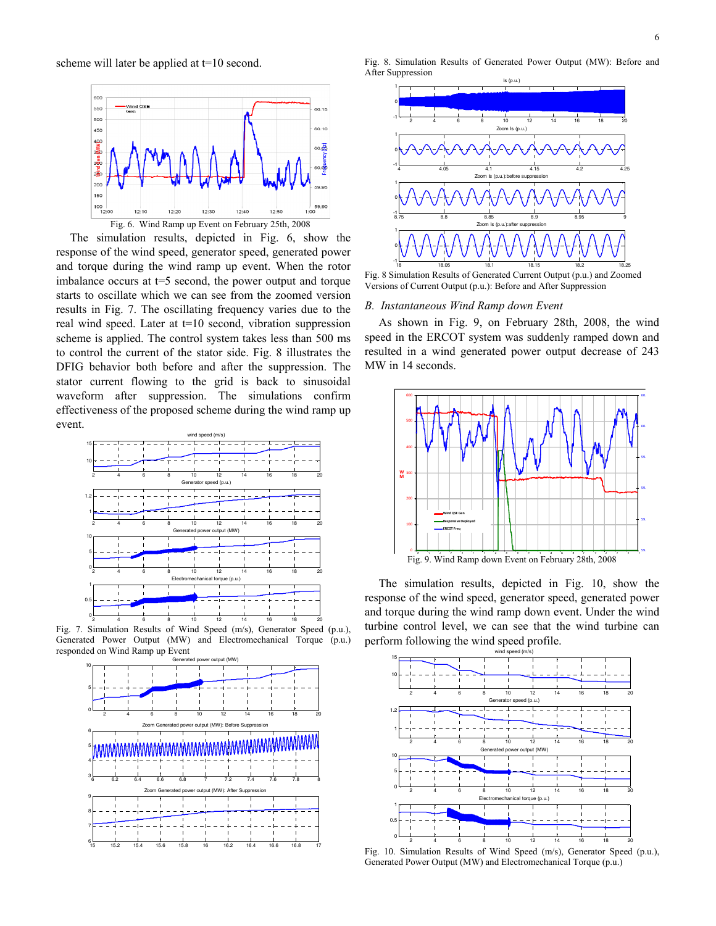

The simulation results, depicted in Fig. 6, show the response of the wind speed, generator speed, generated power and torque during the wind ramp up event. When the rotor imbalance occurs at  $t=5$  second, the power output and torque starts to oscillate which we can see from the zoomed version results in Fig. 7. The oscillating frequency varies due to the real wind speed. Later at  $t=10$  second, vibration suppression scheme is applied. The control system takes less than 500 ms to control the current of the stator side. Fig. 8 illustrates the DFIG behavior both before and after the suppression. The stator current flowing to the grid is back to sinusoidal waveform after suppression. The simulations confirm effectiveness of the proposed scheme during the wind ramp up event.



Fig. 7. Simulation Results of Wind Speed (m/s), Generator Speed (p.u.), Generated Power Output (MW) and Electromechanical Torque (p.u.) responded on Wind Ramp up Event



Fig. 8. Simulation Results of Generated Power Output (MW): Before and After Suppression



Fig. 8 Simulation Results of Generated Current Output (p.u.) and Zoomed Versions of Current Output (p.u.): Before and After Suppression

# *B. Instantaneous Wind Ramp down Event*

As shown in Fig. 9, on February 28th, 2008, the wind speed in the ERCOT system was suddenly ramped down and resulted in a wind generated power output decrease of 243 MW in 14 seconds.



The simulation results, depicted in Fig. 10, show the response of the wind speed, generator speed, generated power and torque during the wind ramp down event. Under the wind turbine control level, we can see that the wind turbine can perform following the wind speed profile.



Fig. 10. Simulation Results of Wind Speed (m/s), Generator Speed (p.u.), Generated Power Output (MW) and Electromechanical Torque (p.u.)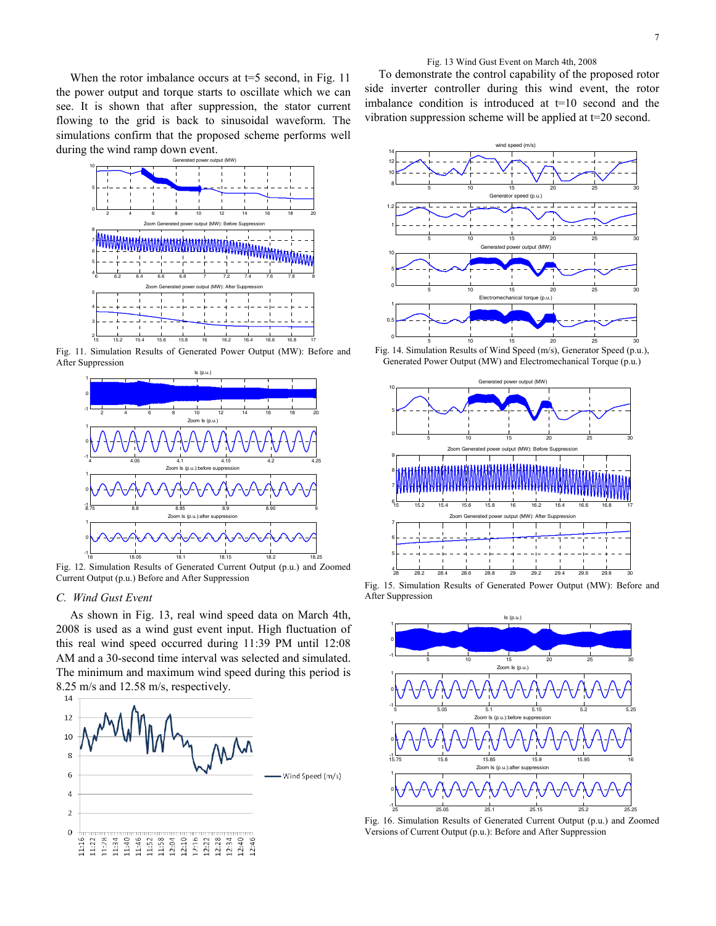When the rotor imbalance occurs at  $t=5$  second, in Fig. 11 the power output and torque starts to oscillate which we can see. It is shown that after suppression, the stator current flowing to the grid is back to sinusoidal waveform. The simulations confirm that the proposed scheme performs well during the wind ramp down event.



Fig. 11. Simulation Results of Generated Power Output (MW): Before and After Suppression



Fig. 12. Simulation Results of Generated Current Output (p.u.) and Zoomed Current Output (p.u.) Before and After Suppression

# *C. Wind Gust Event*

As shown in Fig. 13, real wind speed data on March 4th, 2008 is used as a wind gust event input. High fluctuation of this real wind speed occurred during 11:39 PM until 12:08 AM and a 30-second time interval was selected and simulated. The minimum and maximum wind speed during this period is 8.25 m/s and 12.58 m/s, respectively.



To demonstrate the control capability of the proposed rotor side inverter controller during this wind event, the rotor imbalance condition is introduced at t=10 second and the vibration suppression scheme will be applied at t=20 second.



Generated Power Output (MW) and Electromechanical Torque (p.u.)



Fig. 15. Simulation Results of Generated Power Output (MW): Before and After Suppression



Fig. 16. Simulation Results of Generated Current Output (p.u.) and Zoomed Versions of Current Output (p.u.): Before and After Suppression